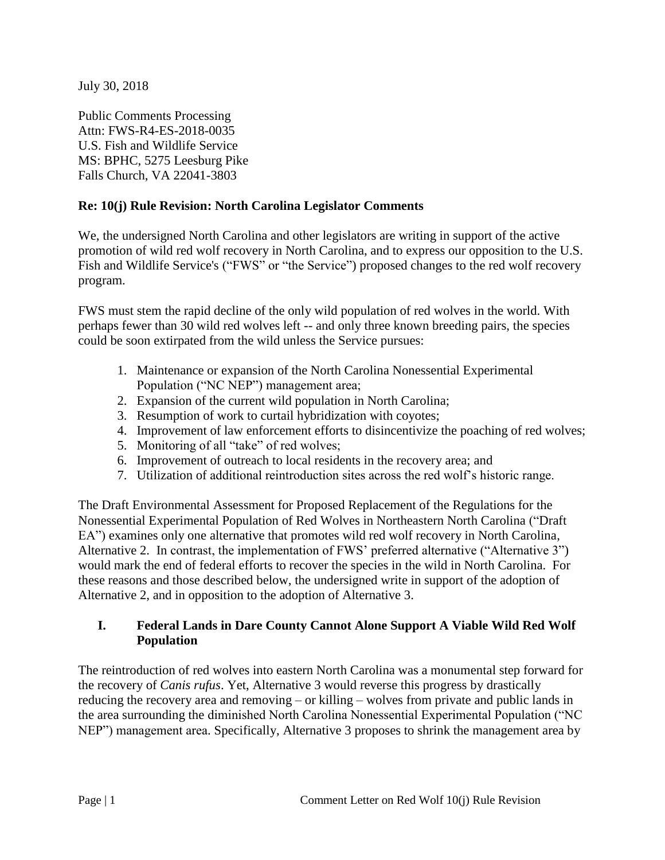July 30, 2018

Public Comments Processing Attn: FWS-R4-ES-2018-0035 U.S. Fish and Wildlife Service MS: BPHC, 5275 Leesburg Pike Falls Church, VA 22041-3803

### **Re: 10(j) Rule Revision: North Carolina Legislator Comments**

We, the undersigned North Carolina and other legislators are writing in support of the active promotion of wild red wolf recovery in North Carolina, and to express our opposition to the U.S. Fish and Wildlife Service's ("FWS" or "the Service") proposed changes to the red wolf recovery program.

FWS must stem the rapid decline of the only wild population of red wolves in the world. With perhaps fewer than 30 wild red wolves left -- and only three known breeding pairs, the species could be soon extirpated from the wild unless the Service pursues:

- 1. Maintenance or expansion of the North Carolina Nonessential Experimental Population ("NC NEP") management area;
- 2. Expansion of the current wild population in North Carolina;
- 3. Resumption of work to curtail hybridization with coyotes;
- 4. Improvement of law enforcement efforts to disincentivize the poaching of red wolves;
- 5. Monitoring of all "take" of red wolves;
- 6. Improvement of outreach to local residents in the recovery area; and
- 7. Utilization of additional reintroduction sites across the red wolf's historic range.

The Draft Environmental Assessment for Proposed Replacement of the Regulations for the Nonessential Experimental Population of Red Wolves in Northeastern North Carolina ("Draft EA") examines only one alternative that promotes wild red wolf recovery in North Carolina, Alternative 2. In contrast, the implementation of FWS' preferred alternative ("Alternative 3") would mark the end of federal efforts to recover the species in the wild in North Carolina. For these reasons and those described below, the undersigned write in support of the adoption of Alternative 2, and in opposition to the adoption of Alternative 3.

#### **I. Federal Lands in Dare County Cannot Alone Support A Viable Wild Red Wolf Population**

The reintroduction of red wolves into eastern North Carolina was a monumental step forward for the recovery of *Canis rufus*. Yet, Alternative 3 would reverse this progress by drastically reducing the recovery area and removing – or killing – wolves from private and public lands in the area surrounding the diminished North Carolina Nonessential Experimental Population ("NC NEP") management area. Specifically, Alternative 3 proposes to shrink the management area by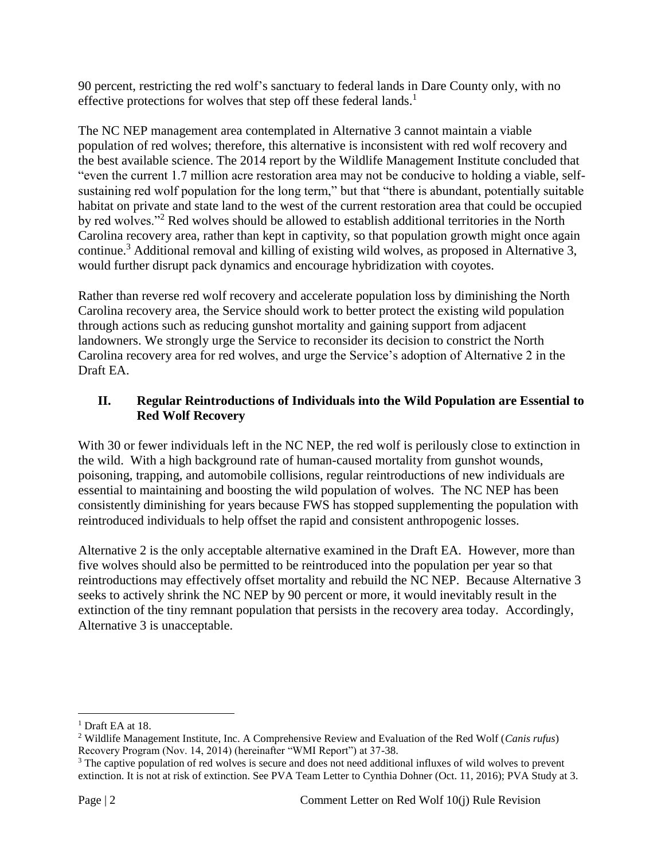90 percent, restricting the red wolf's sanctuary to federal lands in Dare County only, with no effective protections for wolves that step off these federal lands.<sup>1</sup>

The NC NEP management area contemplated in Alternative 3 cannot maintain a viable population of red wolves; therefore, this alternative is inconsistent with red wolf recovery and the best available science. The 2014 report by the Wildlife Management Institute concluded that "even the current 1.7 million acre restoration area may not be conducive to holding a viable, selfsustaining red wolf population for the long term," but that "there is abundant, potentially suitable habitat on private and state land to the west of the current restoration area that could be occupied by red wolves."<sup>2</sup> Red wolves should be allowed to establish additional territories in the North Carolina recovery area, rather than kept in captivity, so that population growth might once again continue.<sup>3</sup> Additional removal and killing of existing wild wolves, as proposed in Alternative 3, would further disrupt pack dynamics and encourage hybridization with coyotes.

Rather than reverse red wolf recovery and accelerate population loss by diminishing the North Carolina recovery area, the Service should work to better protect the existing wild population through actions such as reducing gunshot mortality and gaining support from adjacent landowners. We strongly urge the Service to reconsider its decision to constrict the North Carolina recovery area for red wolves, and urge the Service's adoption of Alternative 2 in the Draft EA.

### **II. Regular Reintroductions of Individuals into the Wild Population are Essential to Red Wolf Recovery**

With 30 or fewer individuals left in the NC NEP, the red wolf is perilously close to extinction in the wild. With a high background rate of human-caused mortality from gunshot wounds, poisoning, trapping, and automobile collisions, regular reintroductions of new individuals are essential to maintaining and boosting the wild population of wolves. The NC NEP has been consistently diminishing for years because FWS has stopped supplementing the population with reintroduced individuals to help offset the rapid and consistent anthropogenic losses.

Alternative 2 is the only acceptable alternative examined in the Draft EA. However, more than five wolves should also be permitted to be reintroduced into the population per year so that reintroductions may effectively offset mortality and rebuild the NC NEP. Because Alternative 3 seeks to actively shrink the NC NEP by 90 percent or more, it would inevitably result in the extinction of the tiny remnant population that persists in the recovery area today. Accordingly, Alternative 3 is unacceptable.

l

<sup>&</sup>lt;sup>1</sup> Draft EA at 18.

<sup>2</sup> Wildlife Management Institute, Inc. A Comprehensive Review and Evaluation of the Red Wolf (*Canis rufus*) Recovery Program (Nov. 14, 2014) (hereinafter "WMI Report") at 37-38.

<sup>&</sup>lt;sup>3</sup> The captive population of red wolves is secure and does not need additional influxes of wild wolves to prevent extinction. It is not at risk of extinction. See PVA Team Letter to Cynthia Dohner (Oct. 11, 2016); PVA Study at 3.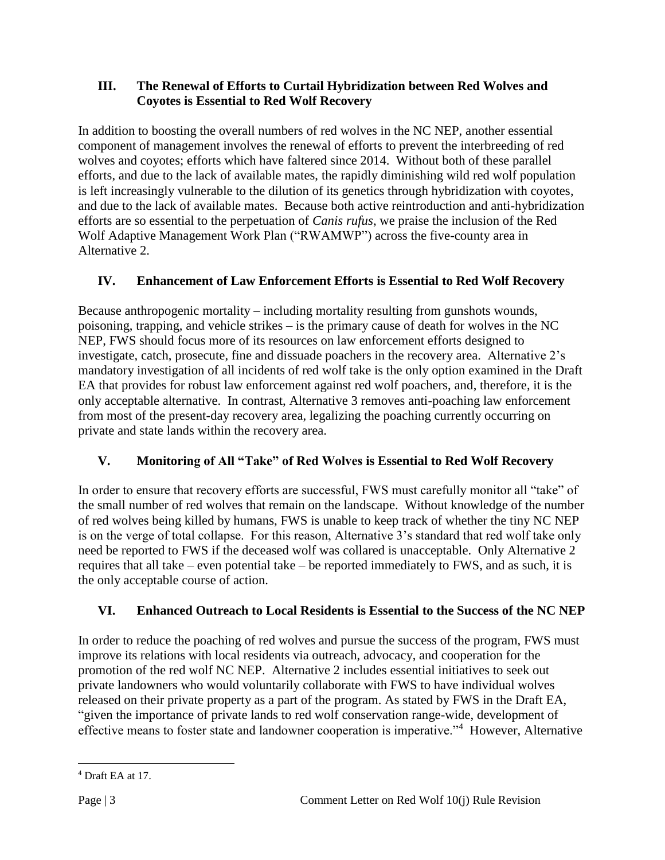### **III. The Renewal of Efforts to Curtail Hybridization between Red Wolves and Coyotes is Essential to Red Wolf Recovery**

In addition to boosting the overall numbers of red wolves in the NC NEP, another essential component of management involves the renewal of efforts to prevent the interbreeding of red wolves and coyotes; efforts which have faltered since 2014. Without both of these parallel efforts, and due to the lack of available mates, the rapidly diminishing wild red wolf population is left increasingly vulnerable to the dilution of its genetics through hybridization with coyotes, and due to the lack of available mates. Because both active reintroduction and anti-hybridization efforts are so essential to the perpetuation of *Canis rufus*, we praise the inclusion of the Red Wolf Adaptive Management Work Plan ("RWAMWP") across the five-county area in Alternative 2.

# **IV. Enhancement of Law Enforcement Efforts is Essential to Red Wolf Recovery**

Because anthropogenic mortality – including mortality resulting from gunshots wounds, poisoning, trapping, and vehicle strikes – is the primary cause of death for wolves in the NC NEP, FWS should focus more of its resources on law enforcement efforts designed to investigate, catch, prosecute, fine and dissuade poachers in the recovery area. Alternative 2's mandatory investigation of all incidents of red wolf take is the only option examined in the Draft EA that provides for robust law enforcement against red wolf poachers, and, therefore, it is the only acceptable alternative. In contrast, Alternative 3 removes anti-poaching law enforcement from most of the present-day recovery area, legalizing the poaching currently occurring on private and state lands within the recovery area.

# **V. Monitoring of All "Take" of Red Wolves is Essential to Red Wolf Recovery**

In order to ensure that recovery efforts are successful, FWS must carefully monitor all "take" of the small number of red wolves that remain on the landscape. Without knowledge of the number of red wolves being killed by humans, FWS is unable to keep track of whether the tiny NC NEP is on the verge of total collapse. For this reason, Alternative 3's standard that red wolf take only need be reported to FWS if the deceased wolf was collared is unacceptable. Only Alternative 2 requires that all take – even potential take – be reported immediately to FWS, and as such, it is the only acceptable course of action.

## **VI. Enhanced Outreach to Local Residents is Essential to the Success of the NC NEP**

In order to reduce the poaching of red wolves and pursue the success of the program, FWS must improve its relations with local residents via outreach, advocacy, and cooperation for the promotion of the red wolf NC NEP. Alternative 2 includes essential initiatives to seek out private landowners who would voluntarily collaborate with FWS to have individual wolves released on their private property as a part of the program. As stated by FWS in the Draft EA, "given the importance of private lands to red wolf conservation range-wide, development of effective means to foster state and landowner cooperation is imperative."<sup>4</sup> However, Alternative

 $\overline{\phantom{a}}$ <sup>4</sup> Draft EA at 17.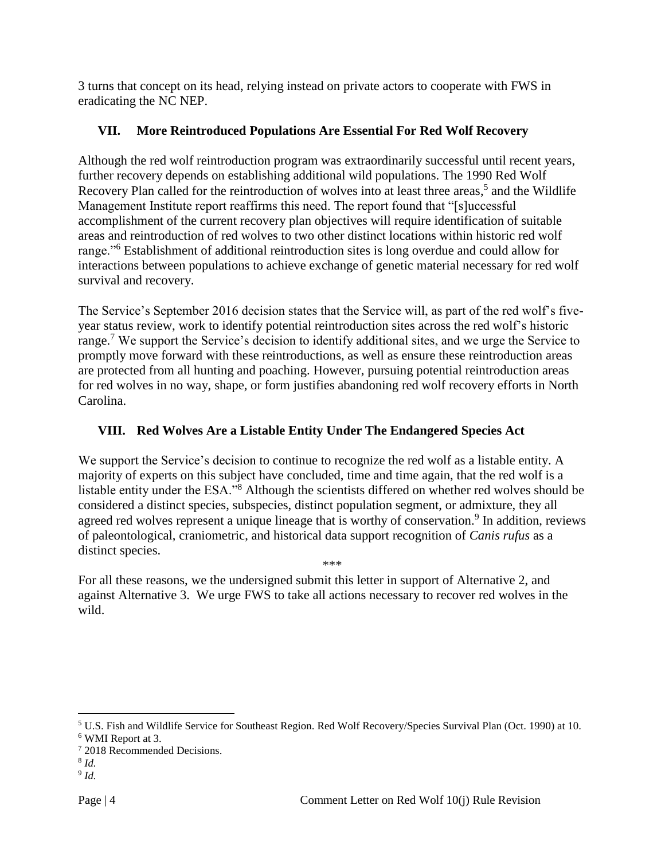3 turns that concept on its head, relying instead on private actors to cooperate with FWS in eradicating the NC NEP.

### **VII. More Reintroduced Populations Are Essential For Red Wolf Recovery**

Although the red wolf reintroduction program was extraordinarily successful until recent years, further recovery depends on establishing additional wild populations. The 1990 Red Wolf Recovery Plan called for the reintroduction of wolves into at least three areas,<sup>5</sup> and the Wildlife Management Institute report reaffirms this need. The report found that "[s]uccessful accomplishment of the current recovery plan objectives will require identification of suitable areas and reintroduction of red wolves to two other distinct locations within historic red wolf range."<sup>6</sup> Establishment of additional reintroduction sites is long overdue and could allow for interactions between populations to achieve exchange of genetic material necessary for red wolf survival and recovery.

The Service's September 2016 decision states that the Service will, as part of the red wolf's fiveyear status review, work to identify potential reintroduction sites across the red wolf's historic range.<sup>7</sup> We support the Service's decision to identify additional sites, and we urge the Service to promptly move forward with these reintroductions, as well as ensure these reintroduction areas are protected from all hunting and poaching. However, pursuing potential reintroduction areas for red wolves in no way, shape, or form justifies abandoning red wolf recovery efforts in North Carolina.

## **VIII. Red Wolves Are a Listable Entity Under The Endangered Species Act**

We support the Service's decision to continue to recognize the red wolf as a listable entity. A majority of experts on this subject have concluded, time and time again, that the red wolf is a listable entity under the ESA."<sup>8</sup> Although the scientists differed on whether red wolves should be considered a distinct species, subspecies, distinct population segment, or admixture, they all agreed red wolves represent a unique lineage that is worthy of conservation.<sup>9</sup> In addition, reviews of paleontological, craniometric, and historical data support recognition of *Canis rufus* as a distinct species. \*\*\*

For all these reasons, we the undersigned submit this letter in support of Alternative 2, and against Alternative 3. We urge FWS to take all actions necessary to recover red wolves in the wild.

<sup>5</sup> U.S. Fish and Wildlife Service for Southeast Region. Red Wolf Recovery/Species Survival Plan (Oct. 1990) at 10. <sup>6</sup> WMI Report at 3.

l

<sup>7</sup> 2018 Recommended Decisions.

<sup>8</sup> *Id.*

<sup>9</sup> *Id.*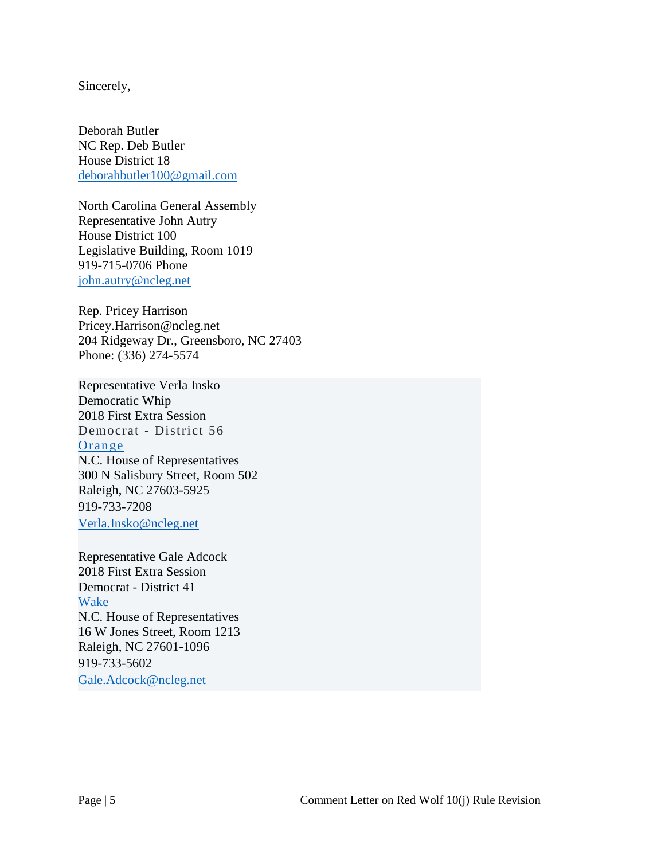Sincerely,

Deborah Butler NC Rep. Deb Butler House District 18 [deborahbutler100@gmail.com](mailto:deborahbutler100@gmail.com)

North Carolina General Assembly Representative John Autry House District 100 Legislative Building, Room 1019 919-715-0706 Phone [john.autry@ncleg.net](mailto:john.autry@ncleg.net)

Rep. Pricey Harrison Pricey.Harrison@ncleg.net 204 Ridgeway Dr., Greensboro, NC 27403 [Phone:](https://www.google.com/search?q=harrison+pricey+phone&ludocid=13456220432890937709&sa=X&ved=2ahUKEwiFm4v4zr_cAhXllOAKHQhRBm8Q6BMwEHoECAoQOA) [\(336\) 274-5574](https://www.google.com/search?q=NC+pricey+harrison&oq=NC+Pricey+Harrison&aqs=chrome.0.69i59j0l3j69i64.5567j0j7&sourceid=chrome&ie=UTF-8)

Representative Verla Insko Democratic Whip 2018 First Extra Session Democrat - District 56 [Orange](https://www.ncleg.net/gascripts/counties/counties.pl?county=Orange) N.C. House of Representatives 300 N Salisbury Street, Room 502 Raleigh, NC 27603-5925 919-733-7208 [Verla.Insko@ncleg.net](mailto:Verla.Insko@ncleg.net)

Representative Gale Adcock 2018 First Extra Session Democrat - District 41 [Wake](https://www.ncleg.net/gascripts/counties/counties.pl?county=Wake) N.C. House of Representatives 16 W Jones Street, Room 1213 Raleigh, NC 27601-1096 919-733-5602 [Gale.Adcock@ncleg.net](mailto:Gale.Adcock@ncleg.net)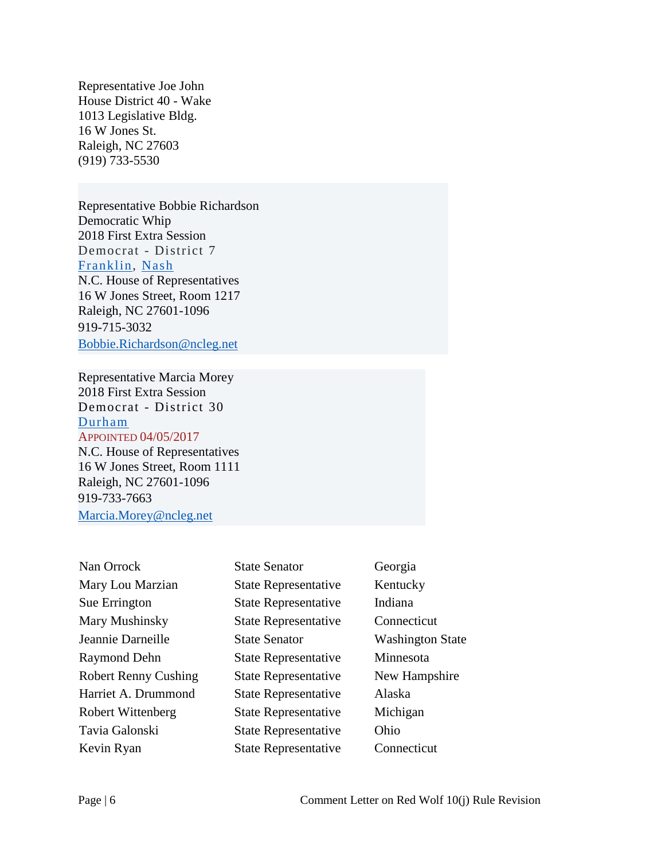Representative Joe John House District 40 - Wake 1013 Legislative Bldg. 16 W Jones St. Raleigh, NC 27603 (919) 733-5530

Representative Bobbie Richardson Democratic Whip 2018 First Extra Session Democrat - District 7 [Franklin,](https://www.ncleg.net/gascripts/counties/counties.pl?county=Franklin) [Nash](https://www.ncleg.net/gascripts/counties/counties.pl?county=Nash) N.C. House of Representatives 16 W Jones Street, Room 1217 Raleigh, NC 27601-1096 919-715-3032 [Bobbie.Richardson@ncleg.net](mailto:Bobbie.Richardson@ncleg.net)

Representative Marcia Morey 2018 First Extra Session Democrat - District 30 [Durham](https://www.ncleg.net/gascripts/counties/counties.pl?county=Durham) APPOINTED 04/05/2017 N.C. House of Representatives 16 W Jones Street, Room 1111 Raleigh, NC 27601-1096 919-733-7663

[Marcia.Morey@ncleg.net](mailto:Marcia.Morey@ncleg.net)

| Nan Orrock                  | <b>State Senator</b>        | Georgia                 |
|-----------------------------|-----------------------------|-------------------------|
| Mary Lou Marzian            | <b>State Representative</b> | Kentucky                |
| Sue Errington               | <b>State Representative</b> | Indiana                 |
| Mary Mushinsky              | <b>State Representative</b> | Connecticut             |
| Jeannie Darneille           | <b>State Senator</b>        | <b>Washington State</b> |
| <b>Raymond Dehn</b>         | <b>State Representative</b> | Minnesota               |
| <b>Robert Renny Cushing</b> | <b>State Representative</b> | New Hampshire           |
| Harriet A. Drummond         | <b>State Representative</b> | Alaska                  |
| Robert Wittenberg           | <b>State Representative</b> | Michigan                |
| Tavia Galonski              | <b>State Representative</b> | Ohio                    |
| Kevin Ryan                  | <b>State Representative</b> | Connecticut             |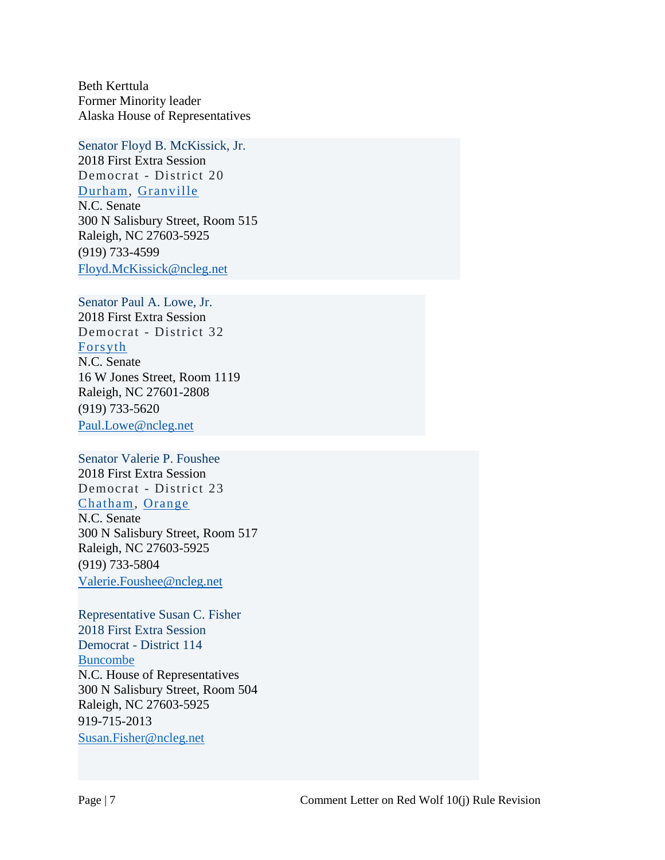Beth Kerttula Former Minority leader Alaska House of Representatives

Senator Floyd B. McKissick, Jr. 2018 First Extra Session Democrat - District 20 [Durham,](https://www.ncleg.net/gascripts/counties/counties.pl?county=Durham) [Granville](https://www.ncleg.net/gascripts/counties/counties.pl?county=Granville)

N.C. Senate

300 N Salisbury Street, Room 515 Raleigh, NC 27603-5925 (919) 733-4599 [Floyd.McKissick@ncleg.net](mailto:Floyd.McKissick@ncleg.net)

Senator Paul A. Lowe, Jr. 2018 First Extra Session

Democrat - District 32 [Forsyth](https://www.ncleg.net/gascripts/counties/counties.pl?county=Forsyth) N.C. Senate 16 W Jones Street, Room 1119 Raleigh, NC 27601-2808 (919) 733-5620 [Paul.Lowe@ncleg.net](mailto:Paul.Lowe@ncleg.net)

Senator Valerie P. Foushee

2018 First Extra Session Democrat - District 23 [Chatham,](https://www.ncleg.net/gascripts/counties/counties.pl?county=Chatham) [Orange](https://www.ncleg.net/gascripts/counties/counties.pl?county=Orange) N.C. Senate 300 N Salisbury Street, Room 517 Raleigh, NC 27603-5925 (919) 733-5804 [Valerie.Foushee@ncleg.net](mailto:Valerie.Foushee@ncleg.net)

Representative Susan C. Fisher 2018 First Extra Session Democrat - District 114 [Buncombe](https://www.ncleg.net/gascripts/counties/counties.pl?county=Buncombe) N.C. House of Representatives 300 N Salisbury Street, Room 504 Raleigh, NC 27603-5925 919-715-2013 [Susan.Fisher@ncleg.net](mailto:Susan.Fisher@ncleg.net)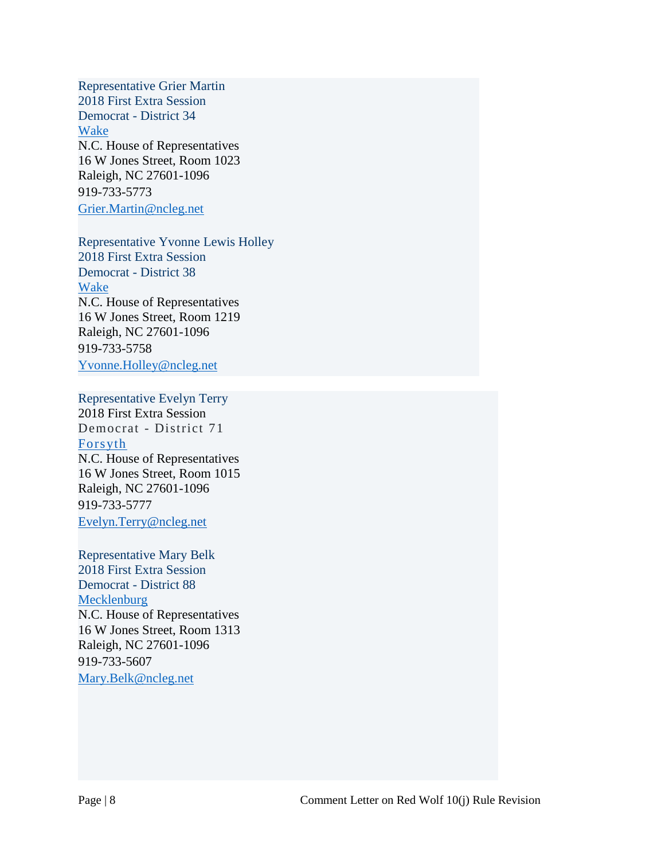Representative Grier Martin 2018 First Extra Session Democrat - District 34 [Wake](https://www.ncleg.net/gascripts/counties/counties.pl?county=Wake) N.C. House of Representatives 16 W Jones Street, Room 1023 Raleigh, NC 27601-1096 919-733-5773 [Grier.Martin@ncleg.net](mailto:Grier.Martin@ncleg.net)

Representative Yvonne Lewis Holley 2018 First Extra Session Democrat - District 38 [Wake](https://www.ncleg.net/gascripts/counties/counties.pl?county=Wake) N.C. House of Representatives 16 W Jones Street, Room 1219 Raleigh, NC 27601-1096 919-733-5758 [Yvonne.Holley@ncleg.net](mailto:Yvonne.Holley@ncleg.net)

Representative Evelyn Terry 2018 First Extra Session Democrat - District 71 [Forsyth](https://www.ncleg.net/gascripts/counties/counties.pl?county=Forsyth) N.C. House of Representatives 16 W Jones Street, Room 1015 Raleigh, NC 27601-1096 919-733-5777 [Evelyn.Terry@ncleg.net](mailto:Evelyn.Terry@ncleg.net)

Representative Mary Belk 2018 First Extra Session Democrat - District 88 [Mecklenburg](https://www.ncleg.net/gascripts/counties/counties.pl?county=Mecklenburg) N.C. House of Representatives 16 W Jones Street, Room 1313 Raleigh, NC 27601-1096 919-733-5607 [Mary.Belk@ncleg.net](mailto:Mary.Belk@ncleg.net)